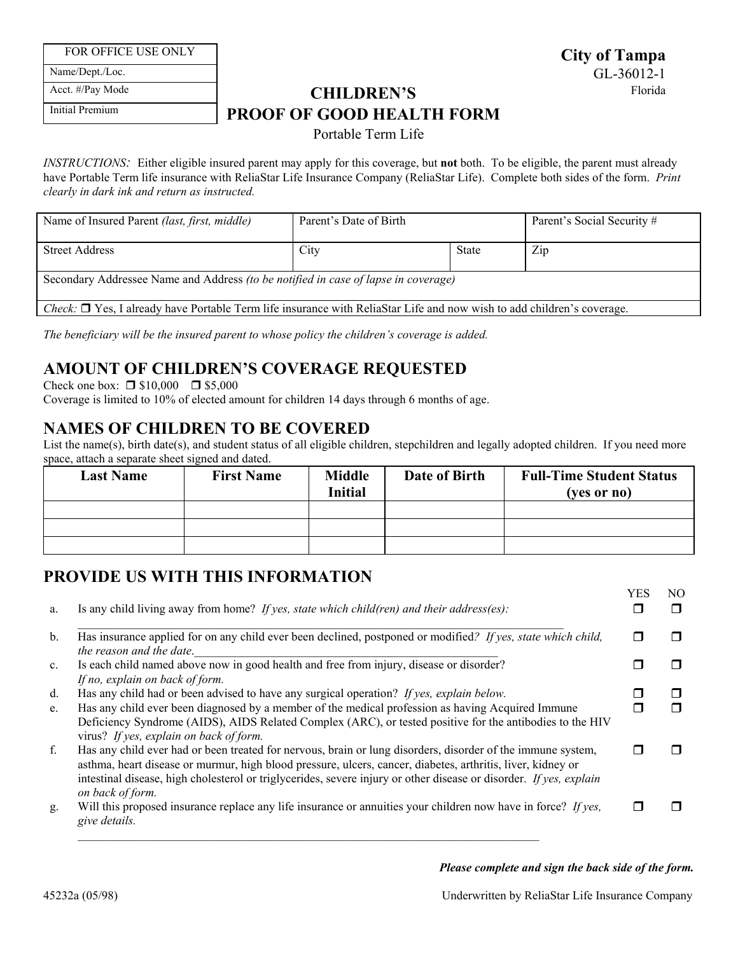FOR OFFICE USE ONLY

Name/Dept./Loc.

Acct. #/Pay Mode

Initial Premium

# **CHILDREN'S** Florida **PROOF OF GOOD HEALTH FORM**

## Portable Term Life

*INSTRUCTIONS:* Either eligible insured parent may apply for this coverage, but **not** both. To be eligible, the parent must already have Portable Term life insurance with ReliaStar Life Insurance Company (ReliaStar Life). Complete both sides of the form. *Print clearly in dark ink and return as instructed.* 

| Name of Insured Parent (last, first, middle)                                                                                        | Parent's Date of Birth |              | Parent's Social Security # |  |
|-------------------------------------------------------------------------------------------------------------------------------------|------------------------|--------------|----------------------------|--|
| Street Address                                                                                                                      | City                   | <b>State</b> | Zip                        |  |
| Secondary Addressee Name and Address <i>(to be notified in case of lapse in coverage)</i>                                           |                        |              |                            |  |
| <i>Check</i> : $\Box$ Yes, I already have Portable Term life insurance with ReliaStar Life and now wish to add children's coverage. |                        |              |                            |  |

*The beneficiary will be the insured parent to whose policy the children's coverage is added.* 

# **AMOUNT OF CHILDREN'S COVERAGE REQUESTED**

Check one box:  $\Box$  \$10,000  $\Box$  \$5,000

Coverage is limited to 10% of elected amount for children 14 days through 6 months of age.

# **NAMES OF CHILDREN TO BE COVERED**

List the name(s), birth date(s), and student status of all eligible children, stepchildren and legally adopted children. If you need more space, attach a separate sheet signed and dated.

| <b>Last Name</b> | <b>First Name</b> | <b>Middle</b><br><b>Initial</b> | Date of Birth | <b>Full-Time Student Status</b><br>(ves or no) |
|------------------|-------------------|---------------------------------|---------------|------------------------------------------------|
|                  |                   |                                 |               |                                                |
|                  |                   |                                 |               |                                                |
|                  |                   |                                 |               |                                                |

# **PROVIDE US WITH THIS INFORMATION**

| a.             | Is any child living away from home? If yes, state which child (ren) and their address (es):                                                                                                                                                                                                                                                                          | <b>YES</b> | NO.<br>⊓     |
|----------------|----------------------------------------------------------------------------------------------------------------------------------------------------------------------------------------------------------------------------------------------------------------------------------------------------------------------------------------------------------------------|------------|--------------|
| b.             | Has insurance applied for on any child ever been declined, postponed or modified? If yes, state which child,<br>the reason and the date.                                                                                                                                                                                                                             |            | $\mathbf{I}$ |
| $\mathbf{c}$ . | Is each child named above now in good health and free from injury, disease or disorder?<br>If no, explain on back of form.                                                                                                                                                                                                                                           |            |              |
| d.             | Has any child had or been advised to have any surgical operation? If yes, explain below.                                                                                                                                                                                                                                                                             |            |              |
| e.             | Has any child ever been diagnosed by a member of the medical profession as having Acquired Immune<br>Deficiency Syndrome (AIDS), AIDS Related Complex (ARC), or tested positive for the antibodies to the HIV<br>virus? If yes, explain on back of form.                                                                                                             |            |              |
| f.             | Has any child ever had or been treated for nervous, brain or lung disorders, disorder of the immune system,<br>asthma, heart disease or murmur, high blood pressure, ulcers, cancer, diabetes, arthritis, liver, kidney or<br>intestinal disease, high cholesterol or triglycerides, severe injury or other disease or disorder. If yes, explain<br>on back of form. |            |              |
| g.             | Will this proposed insurance replace any life insurance or annuities your children now have in force? If yes,<br>give details.                                                                                                                                                                                                                                       |            |              |

 $\mathcal{L}_\mathcal{L}$ 

### *Please complete and sign the back side of the form.*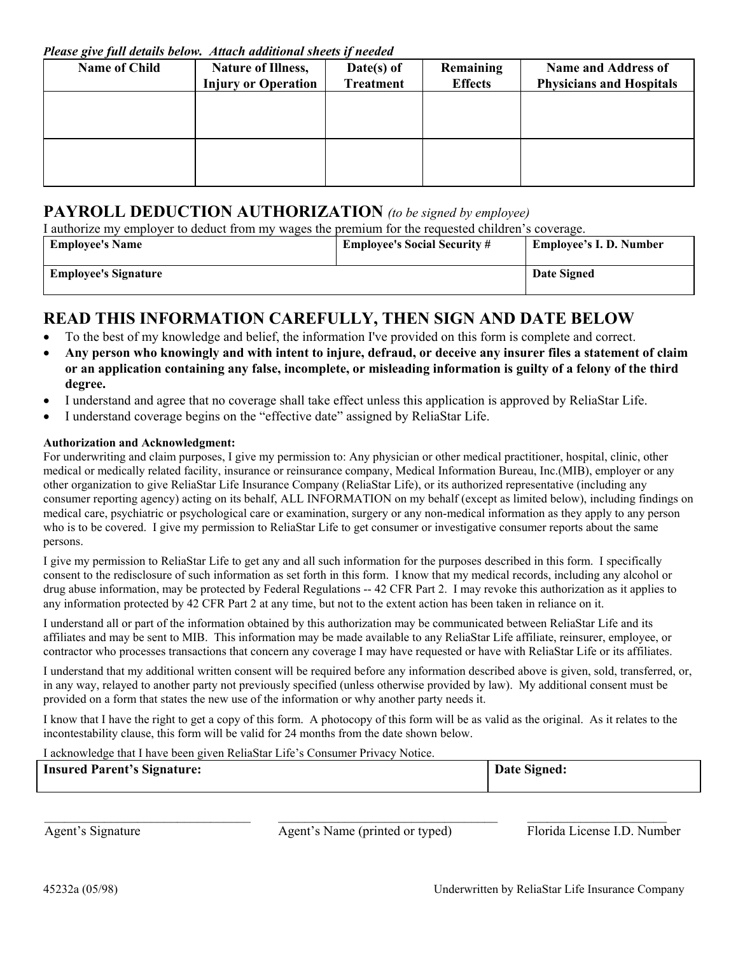*Please give full details below. Attach additional sheets if needed* 

| <b>Name of Child</b> | <b>Nature of Illness,</b><br><b>Injury or Operation</b> | $Date(s)$ of<br><b>Treatment</b> | Remaining<br><b>Effects</b> | <b>Name and Address of</b><br><b>Physicians and Hospitals</b> |
|----------------------|---------------------------------------------------------|----------------------------------|-----------------------------|---------------------------------------------------------------|
|                      |                                                         |                                  |                             |                                                               |
|                      |                                                         |                                  |                             |                                                               |
|                      |                                                         |                                  |                             |                                                               |

## **PAYROLL DEDUCTION AUTHORIZATION** *(to be signed by employee)*

I authorize my employer to deduct from my wages the premium for the requested children's coverage.

| <b>Employee's Name</b>      | <b>Employee's Social Security #</b> | Employee's I.D. Number |
|-----------------------------|-------------------------------------|------------------------|
| <b>Employee's Signature</b> |                                     | Date Signed            |

## **READ THIS INFORMATION CAREFULLY, THEN SIGN AND DATE BELOW**

- To the best of my knowledge and belief, the information I've provided on this form is complete and correct.
- **Any person who knowingly and with intent to injure, defraud, or deceive any insurer files a statement of claim or an application containing any false, incomplete, or misleading information is guilty of a felony of the third degree.**
- I understand and agree that no coverage shall take effect unless this application is approved by ReliaStar Life.
- I understand coverage begins on the "effective date" assigned by ReliaStar Life.

## **Authorization and Acknowledgment:**

 medical care, psychiatric or psychological care or examination, surgery or any non-medical information as they apply to any person For underwriting and claim purposes, I give my permission to: Any physician or other medical practitioner, hospital, clinic, other medical or medically related facility, insurance or reinsurance company, Medical Information Bureau, Inc.(MIB), employer or any other organization to give ReliaStar Life Insurance Company (ReliaStar Life), or its authorized representative (including any consumer reporting agency) acting on its behalf, ALL INFORMATION on my behalf (except as limited below), including findings on who is to be covered. I give my permission to ReliaStar Life to get consumer or investigative consumer reports about the same persons.

 drug abuse information, may be protected by Federal Regulations -- 42 CFR Part 2. I may revoke this authorization as it applies to any information protected by 42 CFR Part 2 at any time, but not to the extent action has been taken in reliance on it. I give my permission to ReliaStar Life to get any and all such information for the purposes described in this form. I specifically consent to the redisclosure of such information as set forth in this form. I know that my medical records, including any alcohol or

 I understand all or part of the information obtained by this authorization may be communicated between ReliaStar Life and its contractor who processes transactions that concern any coverage I may have requested or have with ReliaStar Life or its affiliates. affiliates and may be sent to MIB. This information may be made available to any ReliaStar Life affiliate, reinsurer, employee, or

 provided on a form that states the new use of the information or why another party needs it. I understand that my additional written consent will be required before any information described above is given, sold, transferred, or, in any way, relayed to another party not previously specified (unless otherwise provided by law). My additional consent must be

 incontestability clause, this form will be valid for 24 months from the date shown below. I know that I have the right to get a copy of this form. A photocopy of this form will be as valid as the original. As it relates to the

I acknowledge that I have been given ReliaStar Life's Consumer Privacy Notice.

| <b>Insured Parent's Signature:</b> | Date Signed: |
|------------------------------------|--------------|
|                                    |              |

 $\mathcal{L}_\mathcal{L} = \{ \mathcal{L}_\mathcal{L} = \{ \mathcal{L}_\mathcal{L} = \{ \mathcal{L}_\mathcal{L} = \{ \mathcal{L}_\mathcal{L} = \{ \mathcal{L}_\mathcal{L} = \{ \mathcal{L}_\mathcal{L} = \{ \mathcal{L}_\mathcal{L} = \{ \mathcal{L}_\mathcal{L} = \{ \mathcal{L}_\mathcal{L} = \{ \mathcal{L}_\mathcal{L} = \{ \mathcal{L}_\mathcal{L} = \{ \mathcal{L}_\mathcal{L} = \{ \mathcal{L}_\mathcal{L} = \{ \mathcal{L}_\mathcal{$ Agent's Signature Agent's Name (printed or typed) Florida License I.D. Number